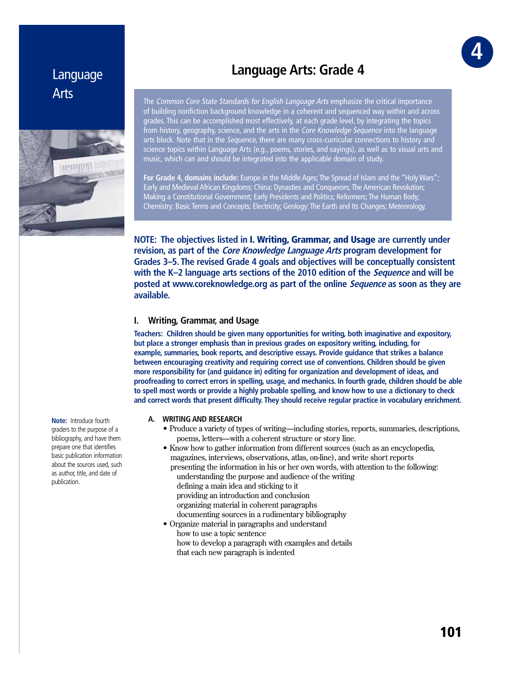# Language Arts



# **Language Arts: Grade 4**

The Common Core State Standards for English Language Arts emphasize the critical importance of building nonfiction background knowledge in a coherent and sequenced way within and across grades. This can be accomplished most effectively, at each grade level, by integrating the topics from history, geography, science, and the arts in the *Core Knowledge Sequence* into the language arts block. Note that in the Sequence, there are many cross-curricular connections to history and science topics within Language Arts (e.g., poems, stories, and sayings), as well as to visual arts and music, which can and should be integrated into the applicable domain of study.

**For Grade 4, domains include:** Europe in the Middle Ages; The Spread of Islam and the "Holy Wars"; Early and Medieval African Kingdoms; China: Dynasties and Conquerors; The American Revolution; Making a Constitutional Government; Early Presidents and Politics; Reformers; The Human Body; Chemistry: Basic Terms and Concepts; Electricity; Geology: The Earth and Its Changes; Meteorology.

**NOTE: The objectives listed in** I. Writing, Grammar, and Usage **are currently under revision, as part of the Core Knowledge Language Arts program development for Grades 3–5. The revised Grade 4 goals and objectives will be conceptually consistent with the K–2 language arts sections of the 2010 edition of the Sequence and will be posted at www.coreknowledge.org as part of the online Sequence as soon as they are available.**

## **I. Writing, Grammar, and Usage**

**Teachers: Children should be given many opportunities for writing, both imaginative and expository, but place a stronger emphasis than in previous grades on expository writing, including, for example, summaries, book reports, and descriptive essays. Provide guidance that strikes a balance between encouraging creativity and requiring correct use of conventions. Children should be given more responsibility for (and guidance in) editing for organization and development of ideas, and proofreading to correct errors in spelling, usage, and mechanics. In fourth grade, children should be able to spell most words or provide a highly probable spelling, and know how to use a dictionary to check and correct words that present difficulty. They should receive regular practice in vocabulary enrichment.**

#### **A. WRITING AND RESEARCH**

- Produce a variety of types of writing—including stories, reports, summaries, descriptions, poems, letters—with a coherent structure or story line.
- Know how to gather information from different sources (such as an encyclopedia, magazines, interviews, observations, atlas, on-line), and write short reports
	- presenting the information in his or her own words, with attention to the following: understanding the purpose and audience of the writing defining a main idea and sticking to it providing an introduction and conclusion organizing material in coherent paragraphs documenting sources in a rudimentary bibliography
- Organize material in paragraphs and understand how to use a topic sentence how to develop a paragraph with examples and details that each new paragraph is indented

**Note:** Introduce fourth graders to the purpose of a bibliography, and have them prepare one that identifies basic publication information about the sources used, such as author, title, and date of publication.

GR **4**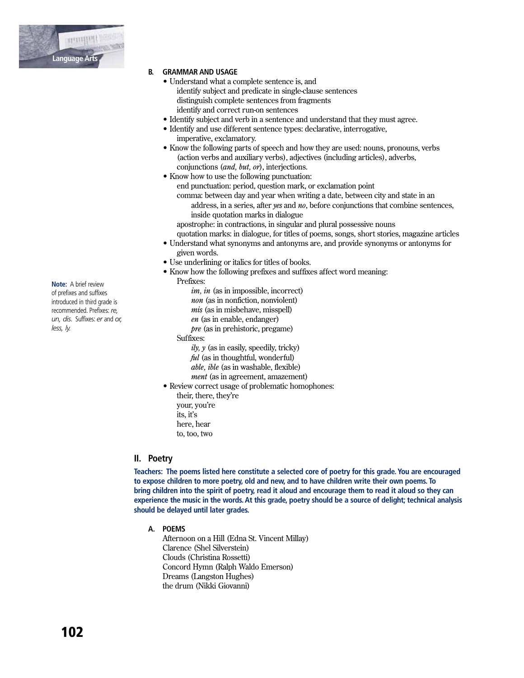

### **B. GRAMMAR AND USAGE**

- Understand what a complete sentence is, and
	- identify subject and predicate in single-clause sentences distinguish complete sentences from fragments identify and correct run-on sentences
- Identify subject and verb in a sentence and understand that they must agree.
- Identify and use different sentence types: declarative, interrogative, imperative, exclamatory.
- Know the following parts of speech and how they are used: nouns, pronouns, verbs (action verbs and auxiliary verbs), adjectives (including articles), adverbs, conjunctions *(and, but, or)*, interjections.
- Know how to use the following punctuation: end punctuation: period, question mark, or exclamation point comma: between day and year when writing a date, between city and state in an address, in a series, after yes and no, before conjunctions that combine sentences, inside quotation marks in dialogue apostrophe: in contractions, in singular and plural possessive nouns
	- quotation marks: in dialogue, for titles of poems, songs, short stories, magazine articles
- Understand what synonyms and antonyms are, and provide synonyms or antonyms for given words.
- Use underlining or italics for titles of books.
- Know how the following prefixes and suffixes affect word meaning:
- Prefixes:
	- $im, in$  (as in impossible, incorrect) non (as in nonfiction, nonviolent)  $mis$  (as in misbehave, misspell)  $en$  (as in enable, endanger)  $pre$  (as in prehistoric, pregame)
	- Suffixes:
		- $i\nu$ ,  $\nu$  (as in easily, speedily, tricky)
		- ful (as in thoughtful, wonderful)
		- able, ible (as in washable, flexible)
		- *ment* (as in agreement, amazement)
- Review correct usage of problematic homophones: their, there, they're
	- vour, vou're its, it's here, hear
	- to, too, two

## II. Poetry

Teachers: The poems listed here constitute a selected core of poetry for this grade. You are encouraged to expose children to more poetry, old and new, and to have children write their own poems. To bring children into the spirit of poetry, read it aloud and encourage them to read it aloud so they can experience the music in the words. At this grade, poetry should be a source of delight; technical analysis should be delayed until later grades.

A. POEMS

Afternoon on a Hill (Edna St. Vincent Millav) Clarence (Shel Silverstein) Clouds (Christina Rossetti) Concord Hymn (Ralph Waldo Emerson) Dreams (Langston Hughes) the drum (Nikki Giovanni)

**Note:** A brief review of prefixes and suffixes introduced in third grade is recommended. Prefixes: re, un, dis. Suffixes: er and or, less, ly.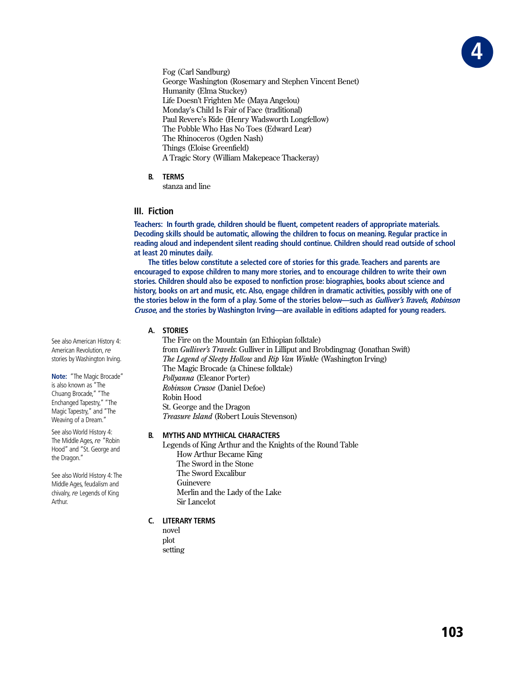

Fog (Carl Sandburg) George Washington (Rosemary and Stephen Vincent Benet) Humanity (Elma Stuckev) Life Doesn't Frighten Me (Maya Angelou) Monday's Child Is Fair of Face (traditional) Paul Revere's Ride (Henry Wadsworth Longfellow) The Pobble Who Has No Toes (Edward Lear) The Rhinoceros (Ogden Nash) Things (Eloise Greenfield) A Tragic Story (William Makepeace Thackeray)

**B. TERMS**

stanza and line

## **III. Fiction**

**Teachers: In fourth grade, children should be fluent, competent readers of appropriate materials. Decoding skills should be automatic, allowing the children to focus on meaning. Regular practice in reading aloud and independent silent reading should continue. Children should read outside of school at least 20 minutes daily.**

**The titles below constitute a selected core of stories for this grade. Teachers and parents are encouraged to expose children to many more stories, and to encourage children to write their own stories. Children should also be exposed to nonfiction prose: biographies, books about science and history, books on art and music, etc. Also, engage children in dramatic activities, possibly with one of the stories below in the form of a play. Some of the stories below—such as Gulliver's Travels, Robinson Crusoe, and the stories by Washington Irving—are available in editions adapted for young readers.**

### **A. STORIES**

The Fire on the Mountain (an Ethiopian folktale) from *Gulliver's Travels*: Gulliver in Lilliput and Brobdingnag (Jonathan Swift) *The Legend of Sleepy Hollow* and *Rip Van Winkle* (Washington Irving) The Magic Brocade (a Chinese folktale) *Pollyanna* (Eleanor Porter) *Robinson Crusoe* (Daniel Defoe) Robin Hood St. George and the Dragon **Treasure Island** (Robert Louis Stevenson)

### **B. MYTHS AND MYTHICAL CHARACTERS**

Legends of King Arthur and the Knights of the Round Table How Arthur Became King The Sword in the Stone The Sword Excalibur Guinevere Merlin and the Lady of the Lake Sir Lancelot

## **C. LITERARY TERMS**

novel plot setting

See also American History 4: American Revolution, *re*  stories by Washington Irving.

**Note:** "The Magic Brocade" is also known as "The Chuang Brocade," "The Enchanged Tapestry," "The Magic Tapestry," and "The Weaving of a Dream."

See also World History 4: The Middle Ages, *re* "Robin Hood" and "St. George and the Dragon."

See also World History 4: The Middle Ages, feudalism and chivalry, *re* Legends of King Arthur.